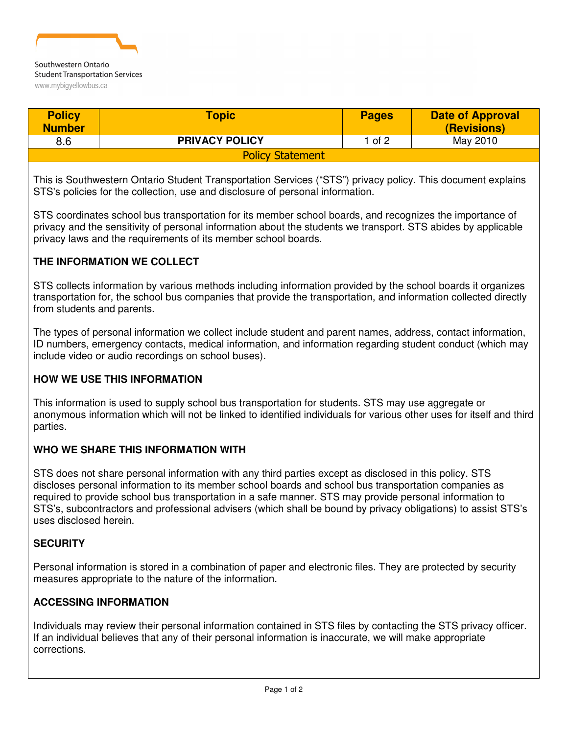

www.mybigyellowbus.ca

| <b>Policy</b><br><b>Number</b> | <b>Topic</b>          | <b>Pages</b> | <b>Date of Approval</b><br>(Revisions) |
|--------------------------------|-----------------------|--------------|----------------------------------------|
| 8.6                            | <b>PRIVACY POLICY</b> | $1$ of 2     | May 2010                               |
| <b>Policy Statement</b>        |                       |              |                                        |

This is Southwestern Ontario Student Transportation Services ("STS") privacy policy. This document explains STS's policies for the collection, use and disclosure of personal information.

STS coordinates school bus transportation for its member school boards, and recognizes the importance of privacy and the sensitivity of personal information about the students we transport. STS abides by applicable privacy laws and the requirements of its member school boards.

### **THE INFORMATION WE COLLECT**

STS collects information by various methods including information provided by the school boards it organizes transportation for, the school bus companies that provide the transportation, and information collected directly from students and parents.

The types of personal information we collect include student and parent names, address, contact information, ID numbers, emergency contacts, medical information, and information regarding student conduct (which may include video or audio recordings on school buses).

## **HOW WE USE THIS INFORMATION**

This information is used to supply school bus transportation for students. STS may use aggregate or anonymous information which will not be linked to identified individuals for various other uses for itself and third parties.

#### **WHO WE SHARE THIS INFORMATION WITH**

STS does not share personal information with any third parties except as disclosed in this policy. STS discloses personal information to its member school boards and school bus transportation companies as required to provide school bus transportation in a safe manner. STS may provide personal information to STS's, subcontractors and professional advisers (which shall be bound by privacy obligations) to assist STS's uses disclosed herein.

#### **SECURITY**

Personal information is stored in a combination of paper and electronic files. They are protected by security measures appropriate to the nature of the information.

#### **ACCESSING INFORMATION**

Individuals may review their personal information contained in STS files by contacting the STS privacy officer. If an individual believes that any of their personal information is inaccurate, we will make appropriate corrections.